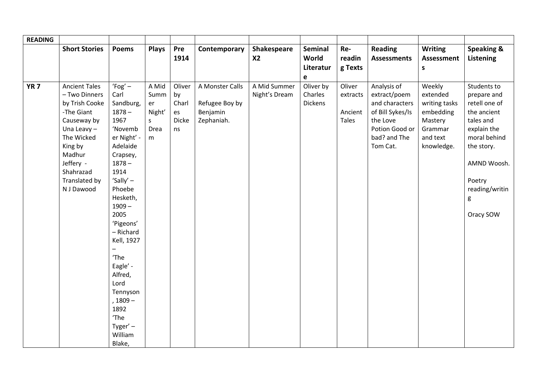| <b>READING</b> |                                                                                                                                                                                                   |                                                                                                                                                                                                                                                                                                                                                                  |                                                 |                                            |                                                             |                               |                                              |                                        |                                                                                                                             |                                                                                                  |                                                                                                                                                                                   |
|----------------|---------------------------------------------------------------------------------------------------------------------------------------------------------------------------------------------------|------------------------------------------------------------------------------------------------------------------------------------------------------------------------------------------------------------------------------------------------------------------------------------------------------------------------------------------------------------------|-------------------------------------------------|--------------------------------------------|-------------------------------------------------------------|-------------------------------|----------------------------------------------|----------------------------------------|-----------------------------------------------------------------------------------------------------------------------------|--------------------------------------------------------------------------------------------------|-----------------------------------------------------------------------------------------------------------------------------------------------------------------------------------|
|                | <b>Short Stories</b>                                                                                                                                                                              | Poems                                                                                                                                                                                                                                                                                                                                                            | Plays                                           | Pre<br>1914                                | Contemporary                                                | Shakespeare<br>X <sub>2</sub> | Seminal<br>World<br>Literatur<br>$\mathbf e$ | Re-<br>readin<br>g Texts               | <b>Reading</b><br><b>Assessments</b>                                                                                        | <b>Writing</b><br><b>Assessment</b><br>S                                                         | <b>Speaking &amp;</b><br>Listening                                                                                                                                                |
| <b>YR 7</b>    | <b>Ancient Tales</b><br>- Two Dinners<br>by Trish Cooke<br>-The Giant<br>Causeway by<br>Una Leavy $-$<br>The Wicked<br>King by<br>Madhur<br>Jeffery -<br>Shahrazad<br>Translated by<br>N J Dawood | $'Fog'$ –<br>Carl<br>Sandburg,<br>$1878 -$<br>1967<br>'Novemb<br>er Night' -<br>Adelaide<br>Crapsey,<br>$1878 -$<br>1914<br>'Sally' $-$<br>Phoebe<br>Hesketh,<br>$1909 -$<br>2005<br>'Pigeons'<br>- Richard<br>Kell, 1927<br>$\qquad \qquad -$<br>'The<br>Eagle' -<br>Alfred,<br>Lord<br>Tennyson<br>$,1809-$<br>1892<br>'The<br>Tyger' $-$<br>William<br>Blake, | A Mid<br>Summ<br>er<br>Night'<br>s<br>Drea<br>m | Oliver<br>by<br>Charl<br>es<br>Dicke<br>ns | A Monster Calls<br>Refugee Boy by<br>Benjamin<br>Zephaniah. | A Mid Summer<br>Night's Dream | Oliver by<br>Charles<br>Dickens              | Oliver<br>extracts<br>Ancient<br>Tales | Analysis of<br>extract/poem<br>and characters<br>of Bill Sykes/Is<br>the Love<br>Potion Good or<br>bad? and The<br>Tom Cat. | Weekly<br>extended<br>writing tasks<br>embedding<br>Mastery<br>Grammar<br>and text<br>knowledge. | Students to<br>prepare and<br>retell one of<br>the ancient<br>tales and<br>explain the<br>moral behind<br>the story.<br>AMND Woosh.<br>Poetry<br>reading/writin<br>g<br>Oracy SOW |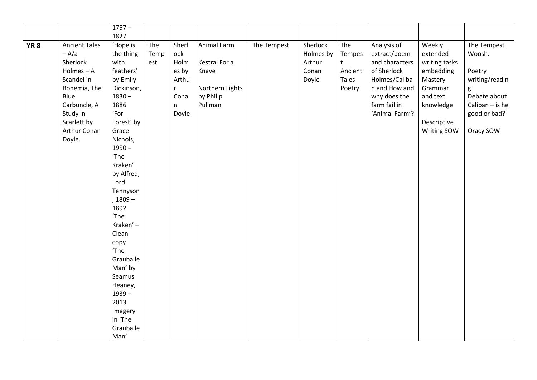|                 |                      | $1757 -$   |      |              |                 |             |           |              |                |               |                   |
|-----------------|----------------------|------------|------|--------------|-----------------|-------------|-----------|--------------|----------------|---------------|-------------------|
|                 |                      | 1827       |      |              |                 |             |           |              |                |               |                   |
| YR <sub>8</sub> | <b>Ancient Tales</b> | 'Hope is   | The  | Sherl        | Animal Farm     | The Tempest | Sherlock  | The          | Analysis of    | Weekly        | The Tempest       |
|                 | $-A/a$               | the thing  | Temp | ock          |                 |             | Holmes by | Tempes       | extract/poem   | extended      | Woosh.            |
|                 | Sherlock             | with       | est  | Holm         | Kestral For a   |             | Arthur    | t            | and characters | writing tasks |                   |
|                 | $Holmes - A$         | feathers'  |      | es by        | Knave           |             | Conan     | Ancient      | of Sherlock    | embedding     | Poetry            |
|                 | Scandel in           | by Emily   |      | Arthu        |                 |             | Doyle     | <b>Tales</b> | Holmes/Caliba  | Mastery       | writing/readin    |
|                 | Bohemia, The         | Dickinson, |      | $\mathsf{r}$ | Northern Lights |             |           | Poetry       | n and How and  | Grammar       | g                 |
|                 | Blue                 | $1830 -$   |      | Cona         | by Philip       |             |           |              | why does the   | and text      | Debate about      |
|                 | Carbuncle, A         | 1886       |      | n.           | Pullman         |             |           |              | farm fail in   | knowledge     | Caliban $-$ is he |
|                 | Study in             | 'For       |      | Doyle        |                 |             |           |              | 'Animal Farm'? |               | good or bad?      |
|                 | Scarlett by          | Forest' by |      |              |                 |             |           |              |                | Descriptive   |                   |
|                 | <b>Arthur Conan</b>  | Grace      |      |              |                 |             |           |              |                | Writing SOW   | Oracy SOW         |
|                 | Doyle.               | Nichols,   |      |              |                 |             |           |              |                |               |                   |
|                 |                      | $1950 -$   |      |              |                 |             |           |              |                |               |                   |
|                 |                      | 'The       |      |              |                 |             |           |              |                |               |                   |
|                 |                      | Kraken'    |      |              |                 |             |           |              |                |               |                   |
|                 |                      | by Alfred, |      |              |                 |             |           |              |                |               |                   |
|                 |                      | Lord       |      |              |                 |             |           |              |                |               |                   |
|                 |                      | Tennyson   |      |              |                 |             |           |              |                |               |                   |
|                 |                      | $,1809-$   |      |              |                 |             |           |              |                |               |                   |
|                 |                      | 1892       |      |              |                 |             |           |              |                |               |                   |
|                 |                      | 'The       |      |              |                 |             |           |              |                |               |                   |
|                 |                      | Kraken'-   |      |              |                 |             |           |              |                |               |                   |
|                 |                      | Clean      |      |              |                 |             |           |              |                |               |                   |
|                 |                      | copy       |      |              |                 |             |           |              |                |               |                   |
|                 |                      | 'The       |      |              |                 |             |           |              |                |               |                   |
|                 |                      | Grauballe  |      |              |                 |             |           |              |                |               |                   |
|                 |                      | Man' by    |      |              |                 |             |           |              |                |               |                   |
|                 |                      | Seamus     |      |              |                 |             |           |              |                |               |                   |
|                 |                      | Heaney,    |      |              |                 |             |           |              |                |               |                   |
|                 |                      | $1939 -$   |      |              |                 |             |           |              |                |               |                   |
|                 |                      | 2013       |      |              |                 |             |           |              |                |               |                   |
|                 |                      | Imagery    |      |              |                 |             |           |              |                |               |                   |
|                 |                      | in 'The    |      |              |                 |             |           |              |                |               |                   |
|                 |                      | Grauballe  |      |              |                 |             |           |              |                |               |                   |
|                 |                      | Man'       |      |              |                 |             |           |              |                |               |                   |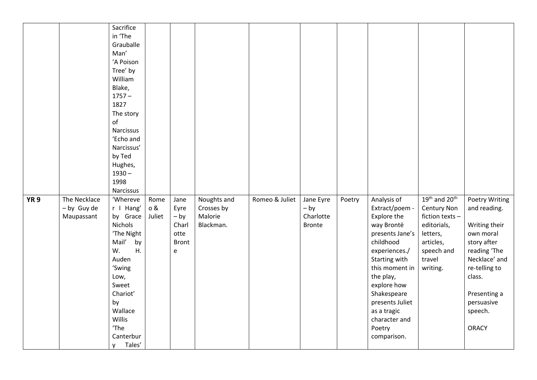|                 |              | Sacrifice   |        |              |             |                |               |        |                 |                |                         |
|-----------------|--------------|-------------|--------|--------------|-------------|----------------|---------------|--------|-----------------|----------------|-------------------------|
|                 |              | in 'The     |        |              |             |                |               |        |                 |                |                         |
|                 |              | Grauballe   |        |              |             |                |               |        |                 |                |                         |
|                 |              | Man'        |        |              |             |                |               |        |                 |                |                         |
|                 |              | 'A Poison   |        |              |             |                |               |        |                 |                |                         |
|                 |              | Tree' by    |        |              |             |                |               |        |                 |                |                         |
|                 |              | William     |        |              |             |                |               |        |                 |                |                         |
|                 |              | Blake,      |        |              |             |                |               |        |                 |                |                         |
|                 |              | $1757 -$    |        |              |             |                |               |        |                 |                |                         |
|                 |              | 1827        |        |              |             |                |               |        |                 |                |                         |
|                 |              | The story   |        |              |             |                |               |        |                 |                |                         |
|                 |              | of          |        |              |             |                |               |        |                 |                |                         |
|                 |              | Narcissus   |        |              |             |                |               |        |                 |                |                         |
|                 |              | 'Echo and   |        |              |             |                |               |        |                 |                |                         |
|                 |              | Narcissus'  |        |              |             |                |               |        |                 |                |                         |
|                 |              | by Ted      |        |              |             |                |               |        |                 |                |                         |
|                 |              | Hughes,     |        |              |             |                |               |        |                 |                |                         |
|                 |              | $1930 -$    |        |              |             |                |               |        |                 |                |                         |
|                 |              | 1998        |        |              |             |                |               |        |                 |                |                         |
|                 |              | Narcissus   |        |              |             |                |               |        |                 |                |                         |
| YR <sub>9</sub> | The Necklace | 'Whereve    | Rome   | Jane         | Noughts and | Romeo & Juliet | Jane Eyre     | Poetry | Analysis of     | 19th and 20th  | Poetry Writing          |
|                 | - by Guy de  | r I Hang'   | o &    | Eyre         | Crosses by  |                | $-$ by        |        | Extract/poem -  | Century Non    | and reading.            |
|                 | Maupassant   | by Grace    | Juliet | $-$ by       | Malorie     |                | Charlotte     |        | Explore the     | fiction texts- |                         |
|                 |              | Nichols     |        | Charl        | Blackman.   |                | <b>Bronte</b> |        | way Brontë      |                | Writing their           |
|                 |              |             |        |              |             |                |               |        |                 | editorials,    |                         |
|                 |              | 'The Night  |        | otte         |             |                |               |        | presents Jane's | letters,       | own moral               |
|                 |              | Mail'<br>by |        | <b>Bront</b> |             |                |               |        | childhood       | articles,      | story after             |
|                 |              | Η.<br>W.    |        | e            |             |                |               |        | experiences./   | speech and     | reading 'The            |
|                 |              | Auden       |        |              |             |                |               |        | Starting with   | travel         | Necklace' and           |
|                 |              | 'Swing      |        |              |             |                |               |        | this moment in  | writing.       |                         |
|                 |              | Low,        |        |              |             |                |               |        | the play,       |                | re-telling to<br>class. |
|                 |              | Sweet       |        |              |             |                |               |        | explore how     |                |                         |
|                 |              | Chariot'    |        |              |             |                |               |        | Shakespeare     |                | Presenting a            |
|                 |              | by          |        |              |             |                |               |        | presents Juliet |                | persuasive              |
|                 |              | Wallace     |        |              |             |                |               |        | as a tragic     |                | speech.                 |
|                 |              | Willis      |        |              |             |                |               |        | character and   |                |                         |
|                 |              | 'The        |        |              |             |                |               |        | Poetry          |                | <b>ORACY</b>            |
|                 |              | Canterbur   |        |              |             |                |               |        | comparison.     |                |                         |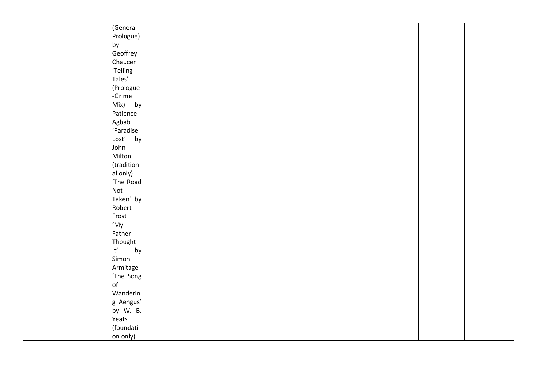| (General                          |  |  |  |  |
|-----------------------------------|--|--|--|--|
| Prologue)                         |  |  |  |  |
| by                                |  |  |  |  |
| Geoffrey                          |  |  |  |  |
| Chaucer                           |  |  |  |  |
| 'Telling                          |  |  |  |  |
| Tales'                            |  |  |  |  |
| (Prologue                         |  |  |  |  |
| -Grime                            |  |  |  |  |
| Mix) by                           |  |  |  |  |
| Patience                          |  |  |  |  |
| Agbabi                            |  |  |  |  |
| 'Paradise                         |  |  |  |  |
| Lost'<br>by                       |  |  |  |  |
| John                              |  |  |  |  |
| Milton                            |  |  |  |  |
| (tradition                        |  |  |  |  |
| al only)                          |  |  |  |  |
| 'The Road                         |  |  |  |  |
| Not                               |  |  |  |  |
| Taken' by                         |  |  |  |  |
| Robert                            |  |  |  |  |
| Frost                             |  |  |  |  |
| 'My                               |  |  |  |  |
| Father                            |  |  |  |  |
| Thought                           |  |  |  |  |
| $\ensuremath{\mathsf{It}}'$<br>by |  |  |  |  |
| Simon                             |  |  |  |  |
| Armitage                          |  |  |  |  |
| 'The Song                         |  |  |  |  |
| $\circ$ f                         |  |  |  |  |
| Wanderin                          |  |  |  |  |
| g Aengus'                         |  |  |  |  |
| by W. B.                          |  |  |  |  |
| Yeats                             |  |  |  |  |
| (foundati                         |  |  |  |  |
| on only)                          |  |  |  |  |